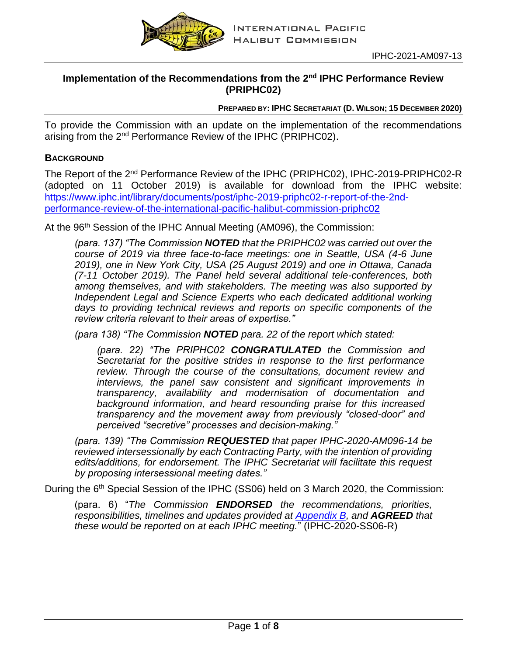

# Implementation of the Recommendations from the 2<sup>nd</sup> IPHC Performance Review **(PRIPHC02)**

**PREPARED BY: IPHC SECRETARIAT (D. WILSON; 15 DECEMBER 2020)**

To provide the Commission with an update on the implementation of the recommendations arising from the 2<sup>nd</sup> Performance Review of the IPHC (PRIPHC02).

# **BACKGROUND**

The Report of the 2nd Performance Review of the IPHC (PRIPHC02), IPHC-2019-PRIPHC02-R (adopted on 11 October 2019) is available for download from the IPHC website: [https://www.iphc.int/library/documents/post/iphc-2019-priphc02-r-report-of-the-2nd](https://www.iphc.int/library/documents/post/iphc-2019-priphc02-r-report-of-the-2nd-performance-review-of-the-international-pacific-halibut-commission-priphc02)[performance-review-of-the-international-pacific-halibut-commission-priphc02](https://www.iphc.int/library/documents/post/iphc-2019-priphc02-r-report-of-the-2nd-performance-review-of-the-international-pacific-halibut-commission-priphc02)

At the 96<sup>th</sup> Session of the IPHC Annual Meeting (AM096), the Commission:

*(para. 137) "The Commission NOTED that the PRIPHC02 was carried out over the course of 2019 via three face-to-face meetings: one in Seattle, USA (4-6 June 2019), one in New York City, USA (25 August 2019) and one in Ottawa, Canada (7-11 October 2019). The Panel held several additional tele-conferences, both among themselves, and with stakeholders. The meeting was also supported by Independent Legal and Science Experts who each dedicated additional working days to providing technical reviews and reports on specific components of the review criteria relevant to their areas of expertise."*

*(para 138) "The Commission NOTED para. 22 of the report which stated:*

*(para. 22) "The PRIPHC02 CONGRATULATED the Commission and Secretariat for the positive strides in response to the first performance review. Through the course of the consultations, document review and interviews, the panel saw consistent and significant improvements in transparency, availability and modernisation of documentation and background information, and heard resounding praise for this increased transparency and the movement away from previously "closed-door" and perceived "secretive" processes and decision-making."*

*(para. 139) "The Commission REQUESTED that paper IPHC-2020-AM096-14 be reviewed intersessionally by each Contracting Party, with the intention of providing edits/additions, for endorsement. The IPHC Secretariat will facilitate this request by proposing intersessional meeting dates."*

During the 6<sup>th</sup> Special Session of the IPHC (SS06) held on 3 March 2020, the Commission:

(para. 6) "*The Commission ENDORSED the recommendations, priorities, responsibilities, timelines and updates provided at Appendix B, and AGREED that these would be reported on at each IPHC meeting.*" (IPHC-2020-SS06-R)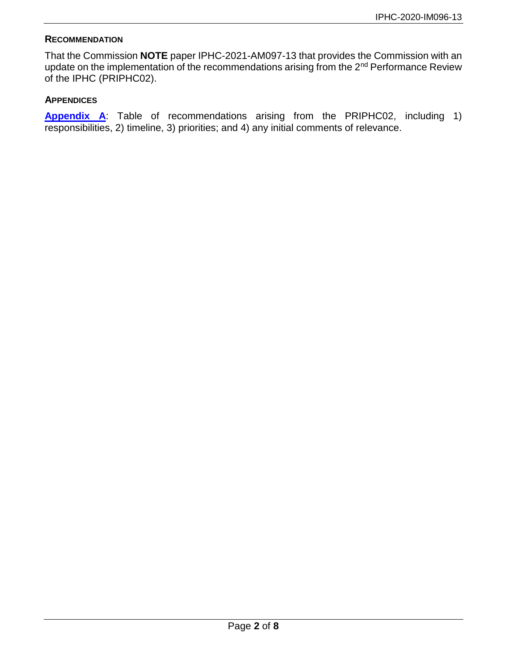#### **RECOMMENDATION**

That the Commission **NOTE** paper IPHC-2021-AM097-13 that provides the Commission with an update on the implementation of the recommendations arising from the 2<sup>nd</sup> Performance Review of the IPHC (PRIPHC02).

#### **APPENDICES**

**[Appendix A](#page-2-0)**: Table of recommendations arising from the PRIPHC02, including 1) responsibilities, 2) timeline, 3) priorities; and 4) any initial comments of relevance.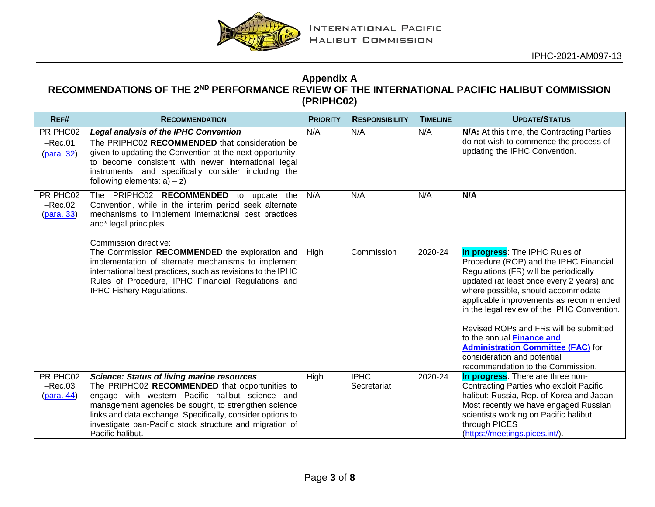

## **Appendix A RECOMMENDATIONS OF THE 2ND PERFORMANCE REVIEW OF THE INTERNATIONAL PACIFIC HALIBUT COMMISSION (PRIPHC02)**

<span id="page-2-0"></span>

| REF#                                        | <b>RECOMMENDATION</b>                                                                                                                                                                                                                                                                                                                                        | <b>PRIORITY</b> | <b>RESPONSIBILITY</b>      | <b>TIMELINE</b> | <b>UPDATE/STATUS</b>                                                                                                                                                                                                                                                                                                                                                                                              |
|---------------------------------------------|--------------------------------------------------------------------------------------------------------------------------------------------------------------------------------------------------------------------------------------------------------------------------------------------------------------------------------------------------------------|-----------------|----------------------------|-----------------|-------------------------------------------------------------------------------------------------------------------------------------------------------------------------------------------------------------------------------------------------------------------------------------------------------------------------------------------------------------------------------------------------------------------|
| PRIPHC02<br>$-Rec.01$<br>(para. 32)         | <b>Legal analysis of the IPHC Convention</b><br>The PRIPHC02 RECOMMENDED that consideration be<br>given to updating the Convention at the next opportunity,<br>to become consistent with newer international legal<br>instruments, and specifically consider including the<br>following elements: $a$ ) – $z$ )                                              | N/A             | N/A                        | N/A             | N/A: At this time, the Contracting Parties<br>do not wish to commence the process of<br>updating the IPHC Convention.                                                                                                                                                                                                                                                                                             |
| PRIPHC02<br>$-Rec.02$<br>( <b>para.</b> 33) | The PRIPHC02 RECOMMENDED to update the<br>Convention, while in the interim period seek alternate<br>mechanisms to implement international best practices<br>and* legal principles.<br>Commission directive:                                                                                                                                                  | N/A             | N/A                        | N/A             | N/A                                                                                                                                                                                                                                                                                                                                                                                                               |
|                                             | The Commission RECOMMENDED the exploration and<br>implementation of alternate mechanisms to implement<br>international best practices, such as revisions to the IPHC<br>Rules of Procedure, IPHC Financial Regulations and<br><b>IPHC Fishery Regulations.</b>                                                                                               | High            | Commission                 | 2020-24         | In progress: The IPHC Rules of<br>Procedure (ROP) and the IPHC Financial<br>Regulations (FR) will be periodically<br>updated (at least once every 2 years) and<br>where possible, should accommodate<br>applicable improvements as recommended<br>in the legal review of the IPHC Convention.<br>Revised ROPs and FRs will be submitted<br>to the annual Finance and<br><b>Administration Committee (FAC)</b> for |
|                                             |                                                                                                                                                                                                                                                                                                                                                              |                 |                            |                 | consideration and potential<br>recommendation to the Commission.                                                                                                                                                                                                                                                                                                                                                  |
| PRIPHC02<br>$-Rec.03$<br>(para. 44)         | <b>Science: Status of living marine resources</b><br>The PRIPHC02 RECOMMENDED that opportunities to<br>engage with western Pacific halibut science and<br>management agencies be sought, to strengthen science<br>links and data exchange. Specifically, consider options to<br>investigate pan-Pacific stock structure and migration of<br>Pacific halibut. | High            | <b>IPHC</b><br>Secretariat | 2020-24         | In progress: There are three non-<br>Contracting Parties who exploit Pacific<br>halibut: Russia, Rep. of Korea and Japan.<br>Most recently we have engaged Russian<br>scientists working on Pacific halibut<br>through PICES<br>(https://meetings.pices.int/).                                                                                                                                                    |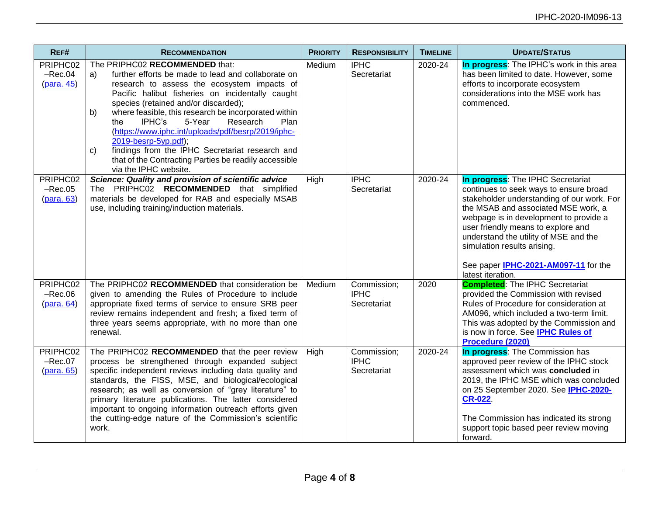| REF#                                | <b>RECOMMENDATION</b>                                                                                                                                                                                                                                                                                                                                                                                                                                                                                                                                                                 | <b>PRIORITY</b> | <b>RESPONSIBILITY</b>                     | <b>TIMELINE</b> | <b>UPDATE/STATUS</b>                                                                                                                                                                                                                                                                                                                                                                         |
|-------------------------------------|---------------------------------------------------------------------------------------------------------------------------------------------------------------------------------------------------------------------------------------------------------------------------------------------------------------------------------------------------------------------------------------------------------------------------------------------------------------------------------------------------------------------------------------------------------------------------------------|-----------------|-------------------------------------------|-----------------|----------------------------------------------------------------------------------------------------------------------------------------------------------------------------------------------------------------------------------------------------------------------------------------------------------------------------------------------------------------------------------------------|
| PRIPHC02<br>$-Rec.04$<br>(para. 45) | The PRIPHC02 RECOMMENDED that:<br>further efforts be made to lead and collaborate on<br>a)<br>research to assess the ecosystem impacts of<br>Pacific halibut fisheries on incidentally caught<br>species (retained and/or discarded);<br>where feasible, this research be incorporated within<br>b)<br>IPHC's<br>5-Year<br>Research<br>Plan<br>the<br>(https://www.iphc.int/uploads/pdf/besrp/2019/iphc-<br>2019-besrp-5yp.pdf);<br>findings from the IPHC Secretariat research and<br>$\mathbf{C}$<br>that of the Contracting Parties be readily accessible<br>via the IPHC website. | Medium          | <b>IPHC</b><br>Secretariat                | 2020-24         | In progress: The IPHC's work in this area<br>has been limited to date. However, some<br>efforts to incorporate ecosystem<br>considerations into the MSE work has<br>commenced.                                                                                                                                                                                                               |
| PRIPHC02<br>$-Rec.05$<br>(para. 63) | <b>Science: Quality and provision of scientific advice</b><br>The PRIPHC02 RECOMMENDED that simplified<br>materials be developed for RAB and especially MSAB<br>use, including training/induction materials.                                                                                                                                                                                                                                                                                                                                                                          | High            | <b>IPHC</b><br>Secretariat                | 2020-24         | In progress: The IPHC Secretariat<br>continues to seek ways to ensure broad<br>stakeholder understanding of our work. For<br>the MSAB and associated MSE work, a<br>webpage is in development to provide a<br>user friendly means to explore and<br>understand the utility of MSE and the<br>simulation results arising.<br>See paper <b>IPHC-2021-AM097-11</b> for the<br>latest iteration. |
| PRIPHC02<br>$-Rec.06$               | The PRIPHC02 RECOMMENDED that consideration be<br>given to amending the Rules of Procedure to include<br>appropriate fixed terms of service to ensure SRB peer<br>review remains independent and fresh; a fixed term of<br>three years seems appropriate, with no more than one<br>renewal.                                                                                                                                                                                                                                                                                           | Medium          | Commission;<br><b>IPHC</b><br>Secretariat | 2020            | <b>Completed:</b> The IPHC Secretariat<br>provided the Commission with revised<br>Rules of Procedure for consideration at<br>AM096, which included a two-term limit.<br>This was adopted by the Commission and<br>is now in force. See IPHC Rules of<br>Procedure (2020)                                                                                                                     |
| PRIPHC02<br>$-Rec.07$<br>(para. 65) | The PRIPHC02 RECOMMENDED that the peer review<br>process be strengthened through expanded subject<br>specific independent reviews including data quality and<br>standards, the FISS, MSE, and biological/ecological<br>research; as well as conversion of "grey literature" to<br>primary literature publications. The latter considered<br>important to ongoing information outreach efforts given<br>the cutting-edge nature of the Commission's scientific<br>work.                                                                                                                | High            | Commission;<br><b>IPHC</b><br>Secretariat | 2020-24         | <b>In progress:</b> The Commission has<br>approved peer review of the IPHC stock<br>assessment which was concluded in<br>2019, the IPHC MSE which was concluded<br>on 25 September 2020. See IPHC-2020-<br><b>CR-022.</b><br>The Commission has indicated its strong<br>support topic based peer review moving<br>forward.                                                                   |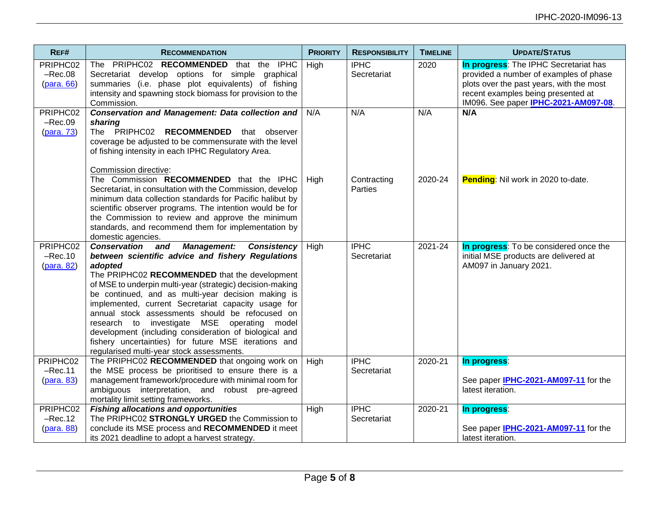| REF#                                  | <b>RECOMMENDATION</b>                                                                                                                                                                                                                                                                                                                                                                                                                                                                                                                                                                                                 | <b>PRIORITY</b> | <b>RESPONSIBILITY</b>         | <b>TIMELINE</b> | <b>UPDATE/STATUS</b>                                                                                                                                                                                              |
|---------------------------------------|-----------------------------------------------------------------------------------------------------------------------------------------------------------------------------------------------------------------------------------------------------------------------------------------------------------------------------------------------------------------------------------------------------------------------------------------------------------------------------------------------------------------------------------------------------------------------------------------------------------------------|-----------------|-------------------------------|-----------------|-------------------------------------------------------------------------------------------------------------------------------------------------------------------------------------------------------------------|
| PRIPHC02<br>$-Rec.08$<br>$(para. 66)$ | The PRIPHC02 RECOMMENDED that the IPHC<br>Secretariat develop options for simple graphical<br>summaries (i.e. phase plot equivalents) of fishing<br>intensity and spawning stock biomass for provision to the<br>Commission.                                                                                                                                                                                                                                                                                                                                                                                          | High            | <b>IPHC</b><br>Secretariat    | 2020            | In progress: The IPHC Secretariat has<br>provided a number of examples of phase<br>plots over the past years, with the most<br>recent examples being presented at<br>IM096. See paper <b>IPHC-2021-AM097-08</b> . |
| PRIPHC02<br>$-Rec.09$<br>$(para. 73)$ | <b>Conservation and Management: Data collection and</b><br>sharing<br>The PRIPHC02 RECOMMENDED that observer<br>coverage be adjusted to be commensurate with the level<br>of fishing intensity in each IPHC Regulatory Area.                                                                                                                                                                                                                                                                                                                                                                                          | N/A             | N/A                           | N/A             | N/A                                                                                                                                                                                                               |
|                                       | Commission directive:<br>The Commission RECOMMENDED that the IPHC<br>Secretariat, in consultation with the Commission, develop<br>minimum data collection standards for Pacific halibut by<br>scientific observer programs. The intention would be for<br>the Commission to review and approve the minimum<br>standards, and recommend them for implementation by<br>domestic agencies.                                                                                                                                                                                                                               | High            | Contracting<br><b>Parties</b> | 2020-24         | Pending: Nil work in 2020 to-date.                                                                                                                                                                                |
| PRIPHC02<br>$-Rec.10$<br>$(para. 82)$ | <b>Management: Consistency</b><br><b>Conservation and</b><br>between scientific advice and fishery Regulations<br>adopted<br>The PRIPHC02 RECOMMENDED that the development<br>of MSE to underpin multi-year (strategic) decision-making<br>be continued, and as multi-year decision making is<br>implemented, current Secretariat capacity usage for<br>annual stock assessments should be refocused on<br>research to investigate MSE operating model<br>development (including consideration of biological and<br>fishery uncertainties) for future MSE iterations and<br>regularised multi-year stock assessments. | High            | <b>IPHC</b><br>Secretariat    | 2021-24         | In progress: To be considered once the<br>initial MSE products are delivered at<br>AM097 in January 2021.                                                                                                         |
| PRIPHC02<br>$-Rec.11$<br>(para. 83)   | The PRIPHC02 RECOMMENDED that ongoing work on<br>the MSE process be prioritised to ensure there is a<br>management framework/procedure with minimal room for<br>ambiguous interpretation, and robust pre-agreed<br>mortality limit setting frameworks.                                                                                                                                                                                                                                                                                                                                                                | High            | <b>IPHC</b><br>Secretariat    | 2020-21         | In progress:<br>See paper IPHC-2021-AM097-11 for the<br>latest iteration.                                                                                                                                         |
| PRIPHC02<br>$-Rec.12$<br>(para. 88)   | <b>Fishing allocations and opportunities</b><br>The PRIPHC02 STRONGLY URGED the Commission to<br>conclude its MSE process and RECOMMENDED it meet<br>its 2021 deadline to adopt a harvest strategy.                                                                                                                                                                                                                                                                                                                                                                                                                   | High            | <b>IPHC</b><br>Secretariat    | 2020-21         | In progress:<br>See paper <b>IPHC-2021-AM097-11</b> for the<br>latest iteration.                                                                                                                                  |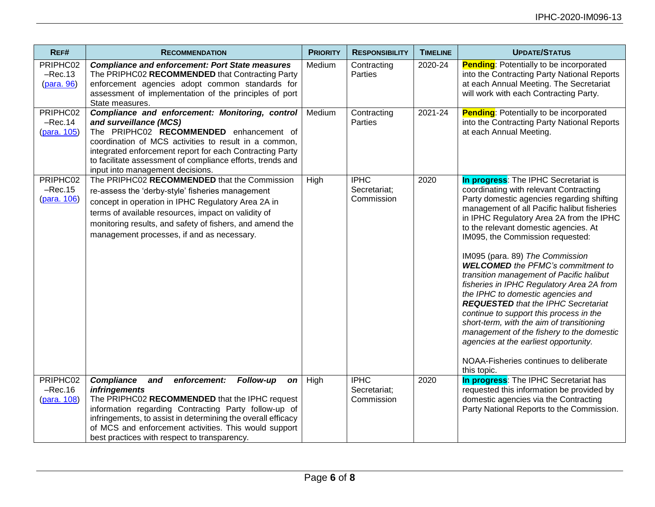| REF#                                 | <b>RECOMMENDATION</b>                                                                                                                                                                                                                                                                                                                                                  | <b>PRIORITY</b> | <b>RESPONSIBILITY</b>                     | <b>TIMELINE</b> | <b>UPDATE/STATUS</b>                                                                                                                                                                                                                                                                                                                                                                                                                                                                                                                                                                                                                                                                                                                                                                                   |
|--------------------------------------|------------------------------------------------------------------------------------------------------------------------------------------------------------------------------------------------------------------------------------------------------------------------------------------------------------------------------------------------------------------------|-----------------|-------------------------------------------|-----------------|--------------------------------------------------------------------------------------------------------------------------------------------------------------------------------------------------------------------------------------------------------------------------------------------------------------------------------------------------------------------------------------------------------------------------------------------------------------------------------------------------------------------------------------------------------------------------------------------------------------------------------------------------------------------------------------------------------------------------------------------------------------------------------------------------------|
| PRIPHC02<br>$-Rec.13$<br>(para. 96)  | <b>Compliance and enforcement: Port State measures</b><br>The PRIPHC02 RECOMMENDED that Contracting Party<br>enforcement agencies adopt common standards for<br>assessment of implementation of the principles of port<br>State measures.                                                                                                                              | Medium          | Contracting<br>Parties                    | 2020-24         | <b>Pending:</b> Potentially to be incorporated<br>into the Contracting Party National Reports<br>at each Annual Meeting. The Secretariat<br>will work with each Contracting Party.                                                                                                                                                                                                                                                                                                                                                                                                                                                                                                                                                                                                                     |
| PRIPHC02<br>$-Rec.14$<br>(para. 105) | Compliance and enforcement: Monitoring, control<br>and surveillance (MCS)<br>The PRIPHC02 RECOMMENDED enhancement of<br>coordination of MCS activities to result in a common,<br>integrated enforcement report for each Contracting Party<br>to facilitate assessment of compliance efforts, trends and<br>input into management decisions.                            | Medium          | Contracting<br>Parties                    | 2021-24         | <b>Pending:</b> Potentially to be incorporated<br>into the Contracting Party National Reports<br>at each Annual Meeting.                                                                                                                                                                                                                                                                                                                                                                                                                                                                                                                                                                                                                                                                               |
| PRIPHC02<br>$-Rec.15$<br>(para. 106) | The PRIPHC02 RECOMMENDED that the Commission<br>re-assess the 'derby-style' fisheries management<br>concept in operation in IPHC Regulatory Area 2A in<br>terms of available resources, impact on validity of<br>monitoring results, and safety of fishers, and amend the<br>management processes, if and as necessary.                                                | High            | <b>IPHC</b><br>Secretariat;<br>Commission | 2020            | In progress: The IPHC Secretariat is<br>coordinating with relevant Contracting<br>Party domestic agencies regarding shifting<br>management of all Pacific halibut fisheries<br>in IPHC Regulatory Area 2A from the IPHC<br>to the relevant domestic agencies. At<br>IM095, the Commission requested:<br>IM095 (para. 89) The Commission<br><b>WELCOMED</b> the PFMC's commitment to<br>transition management of Pacific halibut<br>fisheries in IPHC Regulatory Area 2A from<br>the IPHC to domestic agencies and<br><b>REQUESTED</b> that the IPHC Secretariat<br>continue to support this process in the<br>short-term, with the aim of transitioning<br>management of the fishery to the domestic<br>agencies at the earliest opportunity.<br>NOAA-Fisheries continues to deliberate<br>this topic. |
| PRIPHC02<br>$-Rec.16$<br>(para. 108) | <b>Compliance</b><br>Follow-up<br>enforcement:<br>and<br>on<br><i>infringements</i><br>The PRIPHC02 RECOMMENDED that the IPHC request<br>information regarding Contracting Party follow-up of<br>infringements, to assist in determining the overall efficacy<br>of MCS and enforcement activities. This would support<br>best practices with respect to transparency. | High            | <b>IPHC</b><br>Secretariat;<br>Commission | 2020            | In progress: The IPHC Secretariat has<br>requested this information be provided by<br>domestic agencies via the Contracting<br>Party National Reports to the Commission.                                                                                                                                                                                                                                                                                                                                                                                                                                                                                                                                                                                                                               |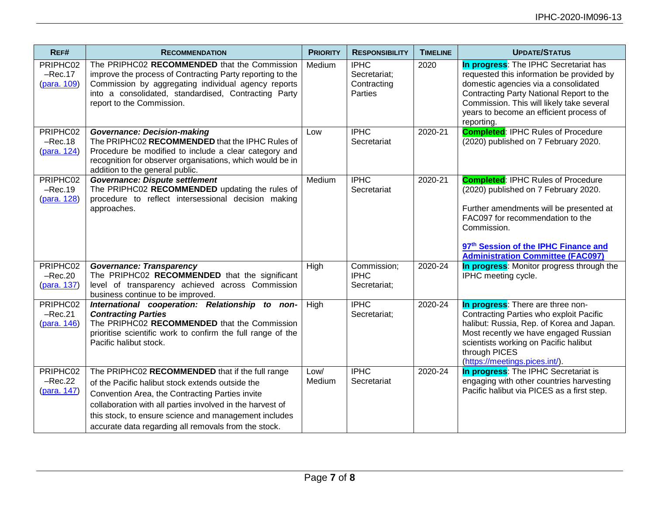| REF#                                 | <b>RECOMMENDATION</b>                                                                                                                                                                                                                                                                                                                | <b>PRIORITY</b> | <b>RESPONSIBILITY</b>                                 | <b>TIMELINE</b> | <b>UPDATE/STATUS</b>                                                                                                                                                                                                                                                         |
|--------------------------------------|--------------------------------------------------------------------------------------------------------------------------------------------------------------------------------------------------------------------------------------------------------------------------------------------------------------------------------------|-----------------|-------------------------------------------------------|-----------------|------------------------------------------------------------------------------------------------------------------------------------------------------------------------------------------------------------------------------------------------------------------------------|
| PRIPHC02<br>$-Rec.17$<br>(para. 109) | The PRIPHC02 RECOMMENDED that the Commission<br>improve the process of Contracting Party reporting to the<br>Commission by aggregating individual agency reports<br>into a consolidated, standardised, Contracting Party<br>report to the Commission.                                                                                | Medium          | <b>IPHC</b><br>Secretariat;<br>Contracting<br>Parties | 2020            | In progress: The IPHC Secretariat has<br>requested this information be provided by<br>domestic agencies via a consolidated<br>Contracting Party National Report to the<br>Commission. This will likely take several<br>years to become an efficient process of<br>reporting. |
| PRIPHC02<br>$-Rec.18$<br>(para. 124) | <b>Governance: Decision-making</b><br>The PRIPHC02 RECOMMENDED that the IPHC Rules of<br>Procedure be modified to include a clear category and<br>recognition for observer organisations, which would be in<br>addition to the general public.                                                                                       | Low             | <b>IPHC</b><br>Secretariat                            | 2020-21         | <b>Completed: IPHC Rules of Procedure</b><br>(2020) published on 7 February 2020.                                                                                                                                                                                            |
| PRIPHC02<br>$-Rec.19$<br>(para. 128) | <b>Governance: Dispute settlement</b><br>The PRIPHC02 RECOMMENDED updating the rules of<br>procedure to reflect intersessional decision making<br>approaches.                                                                                                                                                                        | Medium          | <b>IPHC</b><br>Secretariat                            | 2020-21         | <b>Completed: IPHC Rules of Procedure</b><br>(2020) published on 7 February 2020.<br>Further amendments will be presented at<br>FAC097 for recommendation to the<br>Commission.<br>97th Session of the IPHC Finance and<br><b>Administration Committee (FAC097)</b>          |
| PRIPHC02<br>$-Rec.20$<br>(para. 137) | <b>Governance: Transparency</b><br>The PRIPHC02 RECOMMENDED that the significant<br>level of transparency achieved across Commission<br>business continue to be improved.                                                                                                                                                            | High            | Commission;<br><b>IPHC</b><br>Secretariat;            | 2020-24         | In progress: Monitor progress through the<br>IPHC meeting cycle.                                                                                                                                                                                                             |
| PRIPHC02<br>$-Rec.21$<br>(para. 146) | International cooperation: Relationship to non-<br><b>Contracting Parties</b><br>The PRIPHC02 RECOMMENDED that the Commission<br>prioritise scientific work to confirm the full range of the<br>Pacific halibut stock.                                                                                                               | High            | <b>IPHC</b><br>Secretariat;                           | 2020-24         | In progress: There are three non-<br>Contracting Parties who exploit Pacific<br>halibut: Russia, Rep. of Korea and Japan.<br>Most recently we have engaged Russian<br>scientists working on Pacific halibut<br>through PICES<br>(https://meetings.pices.int/).               |
| PRIPHC02<br>$-Rec.22$<br>(para. 147) | The PRIPHC02 RECOMMENDED that if the full range<br>of the Pacific halibut stock extends outside the<br>Convention Area, the Contracting Parties invite<br>collaboration with all parties involved in the harvest of<br>this stock, to ensure science and management includes<br>accurate data regarding all removals from the stock. | Low/<br>Medium  | <b>IPHC</b><br>Secretariat                            | 2020-24         | In progress: The IPHC Secretariat is<br>engaging with other countries harvesting<br>Pacific halibut via PICES as a first step.                                                                                                                                               |